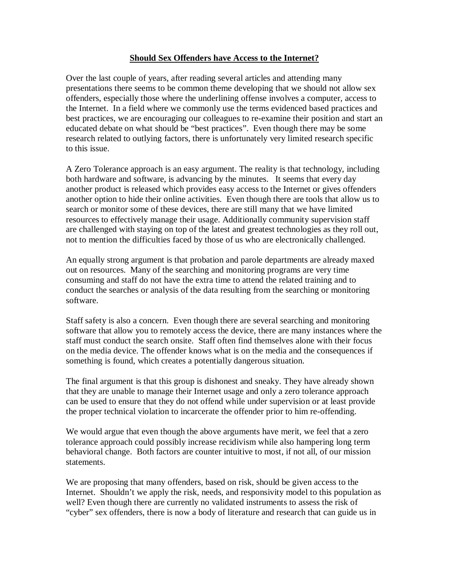## **Should Sex Offenders have Access to the Internet?**

Over the last couple of years, after reading several articles and attending many presentations there seems to be common theme developing that we should not allow sex offenders, especially those where the underlining offense involves a computer, access to the Internet. In a field where we commonly use the terms evidenced based practices and best practices, we are encouraging our colleagues to re-examine their position and start an educated debate on what should be "best practices". Even though there may be some research related to outlying factors, there is unfortunately very limited research specific to this issue.

A Zero Tolerance approach is an easy argument. The reality is that technology, including both hardware and software, is advancing by the minutes. It seems that every day another product is released which provides easy access to the Internet or gives offenders another option to hide their online activities. Even though there are tools that allow us to search or monitor some of these devices, there are still many that we have limited resources to effectively manage their usage. Additionally community supervision staff are challenged with staying on top of the latest and greatest technologies as they roll out, not to mention the difficulties faced by those of us who are electronically challenged.

An equally strong argument is that probation and parole departments are already maxed out on resources. Many of the searching and monitoring programs are very time consuming and staff do not have the extra time to attend the related training and to conduct the searches or analysis of the data resulting from the searching or monitoring software.

Staff safety is also a concern. Even though there are several searching and monitoring software that allow you to remotely access the device, there are many instances where the staff must conduct the search onsite. Staff often find themselves alone with their focus on the media device. The offender knows what is on the media and the consequences if something is found, which creates a potentially dangerous situation.

The final argument is that this group is dishonest and sneaky. They have already shown that they are unable to manage their Internet usage and only a zero tolerance approach can be used to ensure that they do not offend while under supervision or at least provide the proper technical violation to incarcerate the offender prior to him re-offending.

We would argue that even though the above arguments have merit, we feel that a zero tolerance approach could possibly increase recidivism while also hampering long term behavioral change. Both factors are counter intuitive to most, if not all, of our mission statements.

We are proposing that many offenders, based on risk, should be given access to the Internet. Shouldn't we apply the risk, needs, and responsivity model to this population as well? Even though there are currently no validated instruments to assess the risk of "cyber" sex offenders, there is now a body of literature and research that can guide us in